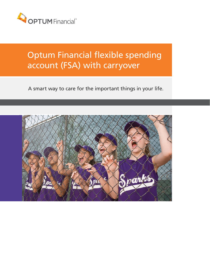

# Optum Financial flexible spending account (FSA) with carryover

A smart way to care for the important things in your life.

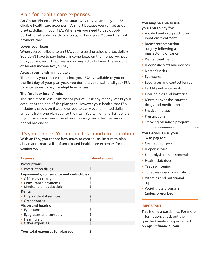# Plan for health care expenses.

An Optum Financial FSA is the smart way to save and pay for IRS eligible health care expenses. It's smart because you can set aside pre-tax dollars in your FSA. Whenever you need to pay out-ofpocket for eligible health care costs, just use your Optum Financial payment card.

## **Lower your taxes.**

When you contribute to an FSA, you're setting aside pre-tax dollars. You don't have to pay federal income taxes on the money you put into your account. That means you may actually lower the amount of federal income tax you pay.

## **Access your funds immediately.**

The money you choose to put into your FSA is available to you on the first day of your plan year. You don't have to wait until your FSA balance grows to pay for eligible expenses.

## **The "use it or lose it" rule.**

The "use it or it lose" rule means you will lose any money left in your account at the end of the plan year. However your health care FSA includes a provision that allows you to carry over a limited dollar amount from one plan year to the next. You will only forfeit dollars if your balance exceeds the allowable carryover after the run out period has ended.

# It's your choice. You decide how much to contribute.

With an FSA, you choose how much to contribute. Be sure to plan ahead and create a list of anticipated health care expenses for the coming year.

| <b>Expense</b>                                 | <b>Estimated cost</b> |
|------------------------------------------------|-----------------------|
| <b>Prescriptions</b>                           |                       |
| • Prescription drugs                           | \$                    |
| <b>Copayments, coinsurance and deductibles</b> |                       |
| • Office visit copayments                      |                       |
| • Coinsurance payments                         |                       |
| • Medical plan deductible                      |                       |
| <b>Dental</b>                                  |                       |
| • Eligible dental services                     |                       |
| • Orthodontist                                 |                       |
| <b>Vision and hearing</b>                      |                       |
| $\bullet$ Eye exams                            |                       |
| • Eyeglasses and contacts                      |                       |
| • Hearing aid                                  |                       |
| • Other expenses                               |                       |
|                                                |                       |
| Your total expenses for plan year              | ς                     |

## **You may be able to use your FSA to pay for:**

- Alcohol and drug addiction inpatient treatment
- Breast reconstruction surgery following a mastectomy or cancer
- Dental treatment
- Diagnostic tests and devices
- Doctor's visits
- Eye exams
- Eyeglasses and contact lenses
- Fertility enhancements
- Hearing aids and batteries
- (Certain) over-the-counter drugs and medications
- Physical therapy
- Prescriptions
- Smoking cessation programs

## **You CANNOT use your FSA to pay for:**

- Cosmetic surgery
- Diaper service
- Electrolysis or hair removal
- Health club dues
- Teeth whitening
- Toiletries (soap, body lotion)
- Vitamins and nutritional supplements
- Weight loss programs (unless prescribed)

## **IMPORTANT**

This is only a partial list. For more information, check out the qualified medical expense tool on **optumfinancial.com**.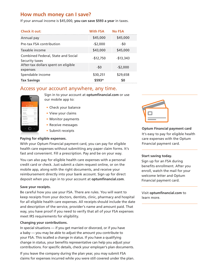# **How much money can I save?**

If your annual income is \$45,000, **you can save \$593 a year** in taxes.

| <b>Check it out:</b>                                 | <b>With FSA</b> | <b>No FSA</b> |
|------------------------------------------------------|-----------------|---------------|
| Annual pay                                           | \$45,000        | \$45,000      |
| Pre-tax FSA contribution                             | $-$ \$2,000     | -\$0          |
| Taxable income                                       | \$43,000        | \$45,000      |
| Combined Federal, State and Social<br>Security taxes | $-$12,750$      | $-$13,343$    |
| After-tax dollars spent on eligible<br>expenses      | $-50$           | $-$2,000$     |
| Spendable income                                     | \$30,251        | \$29,658      |
| <b>Tax Savings</b>                                   | \$593*          | \$0           |

## Access your account anywhere, any time.

| <b>HEA</b><br>٠                            |                   |
|--------------------------------------------|-------------------|
| <b><i>READY COMPANY</i></b><br>\$1,229.50  |                   |
| MANUFACT SUMMARY MANUFACTURERS IN THE 2017 |                   |
| Current balance                            | 91,339.00         |
| <b>Gyment sales</b>                        | \$1,229.52+       |
| Cock-Inchester                             | \$2,224.50        |
| <b><i>Rusham tuturus</i></b>               | 63,224.94         |
| <b>CONTRAUTIONS</b>                        |                   |
| <b><i><u>broid prediction</u></i></b>      | \$3,000.00        |
| Communist Emit                             | \$1,400.00<br>--- |
| Left to Contribute                         | \$1,400.00        |
| ECON TANGICTONS                            |                   |
| INVANT, INCOM.                             | 42.00             |
|                                            |                   |

Sign in to your account at **optumfinancial.com** or use our mobile app to:

- Check your balance
- View your claims
- Monitor payments
- Receive messages
- Submit receipts

## **Paying for eligible expenses.**

With your Optum Financial payment card, you can pay for eligible health care expenses without submitting any paper claim forms. It's fast and convenient. Fill a prescription. Pay and be on your way.

You can also pay for eligible health care expenses with a personal credit card or check. Just submit a claim request online, or on the mobile app, along with the right documents, and receive your reimbursement directly into your bank account. Sign up for direct deposit when you sign in to your account at **optumfinancial.com**.

## **Save your receipts.**

Be careful how you use your FSA. There are rules. You will want to keep receipts from your doctors, dentists, clinic, pharmacy and hospital for all eligible health care expenses. All receipts should include the date and description of the service, provider's name and amount paid. That way, you have proof if you need to verify that all of your FSA expenses meet IRS requirements for eligibility.

## **Changing your contributions.**

In special situations — if you get married or divorced, or if you have a baby — you may be able to adjust the amount you contribute to your FSA. This iscalled a change in status. If you have a qualifying change in status, your benefits representative can help you adjust your contributions. For specific details, check your employer's plan documents.

If you leave the company during the plan year, you may submit FSA claims for expenses incurred while you were still covered under the plan.



**Optum Financial payment card** It's easy to pay for eligible health care expenses with the Optum Financial payment card.

## **Start saving today.**

Sign up for an FSA during benefits enrollment. After you enroll, watch the mail for your welcome letter and Optum Financial payment card.

Visit **optumfinancial.com** to learn more.